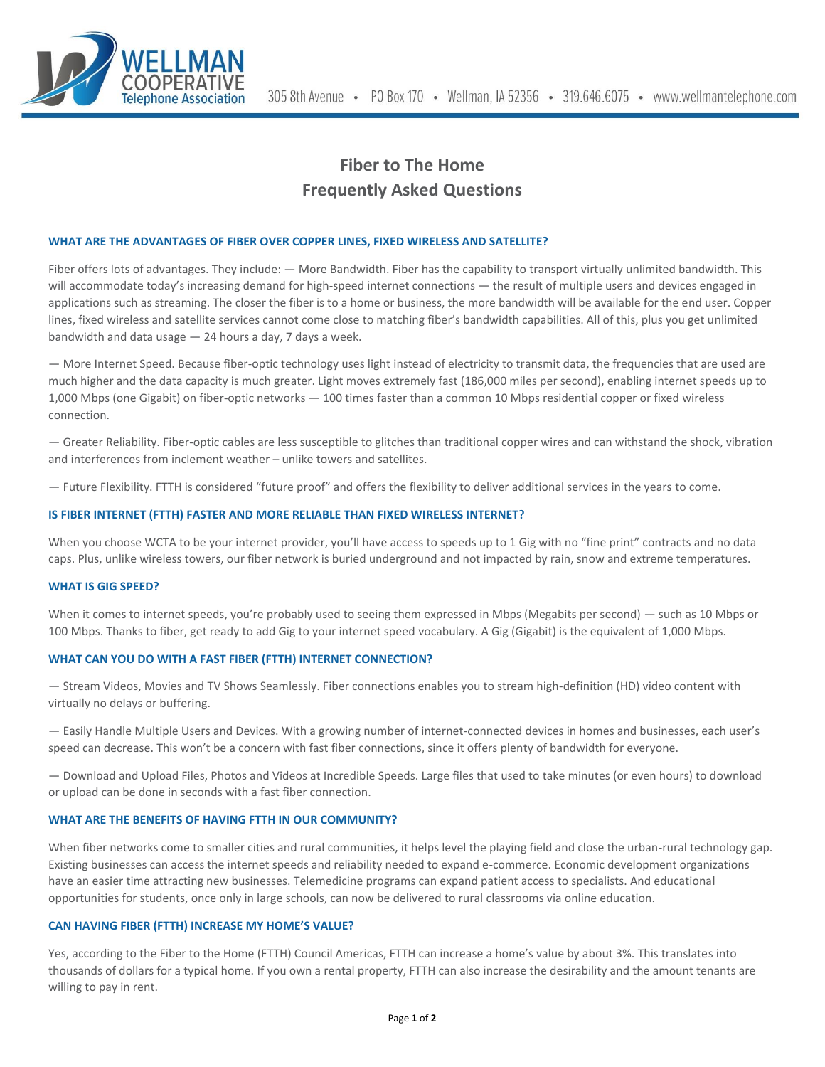

# **Fiber to The Home Frequently Asked Questions**

## **WHAT ARE THE ADVANTAGES OF FIBER OVER COPPER LINES, FIXED WIRELESS AND SATELLITE?**

Fiber offers lots of advantages. They include: — More Bandwidth. Fiber has the capability to transport virtually unlimited bandwidth. This will accommodate today's increasing demand for high-speed internet connections — the result of multiple users and devices engaged in applications such as streaming. The closer the fiber is to a home or business, the more bandwidth will be available for the end user. Copper lines, fixed wireless and satellite services cannot come close to matching fiber's bandwidth capabilities. All of this, plus you get unlimited bandwidth and data usage — 24 hours a day, 7 days a week.

— More Internet Speed. Because fiber-optic technology uses light instead of electricity to transmit data, the frequencies that are used are much higher and the data capacity is much greater. Light moves extremely fast (186,000 miles per second), enabling internet speeds up to 1,000 Mbps (one Gigabit) on fiber-optic networks — 100 times faster than a common 10 Mbps residential copper or fixed wireless connection.

— Greater Reliability. Fiber-optic cables are less susceptible to glitches than traditional copper wires and can withstand the shock, vibration and interferences from inclement weather – unlike towers and satellites.

— Future Flexibility. FTTH is considered "future proof" and offers the flexibility to deliver additional services in the years to come.

# **IS FIBER INTERNET (FTTH) FASTER AND MORE RELIABLE THAN FIXED WIRELESS INTERNET?**

When you choose WCTA to be your internet provider, you'll have access to speeds up to 1 Gig with no "fine print" contracts and no data caps. Plus, unlike wireless towers, our fiber network is buried underground and not impacted by rain, snow and extreme temperatures.

#### **WHAT IS GIG SPEED?**

When it comes to internet speeds, you're probably used to seeing them expressed in Mbps (Megabits per second) — such as 10 Mbps or 100 Mbps. Thanks to fiber, get ready to add Gig to your internet speed vocabulary. A Gig (Gigabit) is the equivalent of 1,000 Mbps.

#### **WHAT CAN YOU DO WITH A FAST FIBER (FTTH) INTERNET CONNECTION?**

— Stream Videos, Movies and TV Shows Seamlessly. Fiber connections enables you to stream high-definition (HD) video content with virtually no delays or buffering.

— Easily Handle Multiple Users and Devices. With a growing number of internet-connected devices in homes and businesses, each user's speed can decrease. This won't be a concern with fast fiber connections, since it offers plenty of bandwidth for everyone.

— Download and Upload Files, Photos and Videos at Incredible Speeds. Large files that used to take minutes (or even hours) to download or upload can be done in seconds with a fast fiber connection.

#### **WHAT ARE THE BENEFITS OF HAVING FTTH IN OUR COMMUNITY?**

When fiber networks come to smaller cities and rural communities, it helps level the playing field and close the urban-rural technology gap. Existing businesses can access the internet speeds and reliability needed to expand e-commerce. Economic development organizations have an easier time attracting new businesses. Telemedicine programs can expand patient access to specialists. And educational opportunities for students, once only in large schools, can now be delivered to rural classrooms via online education.

# **CAN HAVING FIBER (FTTH) INCREASE MY HOME'S VALUE?**

Yes, according to the Fiber to the Home (FTTH) Council Americas, FTTH can increase a home's value by about 3%. This translates into thousands of dollars for a typical home. If you own a rental property, FTTH can also increase the desirability and the amount tenants are willing to pay in rent.